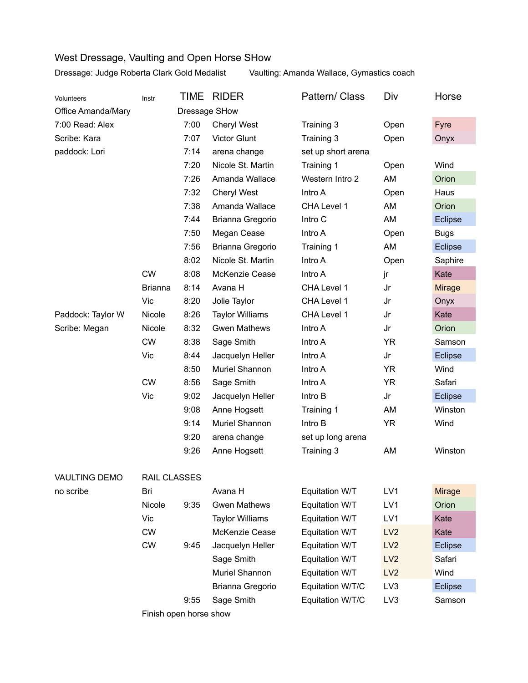## West Dressage, Vaulting and Open Horse SHow

Dressage: Judge Roberta Clark Gold Medalist Vaulting: Amanda Wallace, Gymastics coach

| <b>Volunteers</b>    | Instr          | TIME | <b>RIDER</b>           | Pattern/ Class     | Div             | Horse          |  |  |  |
|----------------------|----------------|------|------------------------|--------------------|-----------------|----------------|--|--|--|
| Office Amanda/Mary   | Dressage SHow  |      |                        |                    |                 |                |  |  |  |
| 7:00 Read: Alex      |                | 7:00 | <b>Cheryl West</b>     | Training 3         | Open            | Fyre           |  |  |  |
| Scribe: Kara         |                | 7:07 | <b>Victor Glunt</b>    | Training 3         | Open            | Onyx           |  |  |  |
| paddock: Lori        |                | 7:14 | arena change           | set up short arena |                 |                |  |  |  |
|                      |                | 7:20 | Nicole St. Martin      | Training 1         | Open            | Wind           |  |  |  |
|                      |                | 7:26 | Amanda Wallace         | Western Intro 2    | AM              | Orion          |  |  |  |
|                      |                | 7:32 | <b>Cheryl West</b>     | Intro A            | Open            | Haus           |  |  |  |
|                      |                | 7:38 | Amanda Wallace         | CHA Level 1        | AM              | Orion          |  |  |  |
|                      |                | 7:44 | Brianna Gregorio       | Intro C            | AM              | <b>Eclipse</b> |  |  |  |
|                      |                | 7:50 | Megan Cease            | Intro A            | Open            | <b>Bugs</b>    |  |  |  |
|                      |                | 7:56 | Brianna Gregorio       | Training 1         | AM              | Eclipse        |  |  |  |
|                      |                | 8:02 | Nicole St. Martin      | Intro A            | Open            | Saphire        |  |  |  |
|                      | <b>CW</b>      | 8:08 | McKenzie Cease         | Intro A            | jr              | Kate           |  |  |  |
|                      | <b>Brianna</b> | 8:14 | Avana H                | CHA Level 1        | Jr              | <b>Mirage</b>  |  |  |  |
|                      | Vic            | 8:20 | Jolie Taylor           | CHA Level 1        | Jr              | Onyx           |  |  |  |
| Paddock: Taylor W    | Nicole         | 8:26 | <b>Taylor Williams</b> | CHA Level 1        | Jr              | Kate           |  |  |  |
| Scribe: Megan        | Nicole         | 8:32 | <b>Gwen Mathews</b>    | Intro A            | Jr              | Orion          |  |  |  |
|                      | <b>CW</b>      | 8:38 | Sage Smith             | Intro A            | <b>YR</b>       | Samson         |  |  |  |
|                      | Vic            | 8:44 | Jacquelyn Heller       | Intro A            | Jr              | Eclipse        |  |  |  |
|                      |                | 8:50 | Muriel Shannon         | Intro A            | <b>YR</b>       | Wind           |  |  |  |
|                      | <b>CW</b>      | 8:56 | Sage Smith             | Intro A            | <b>YR</b>       | Safari         |  |  |  |
|                      | Vic            | 9:02 | Jacquelyn Heller       | Intro B            | Jr              | Eclipse        |  |  |  |
|                      |                | 9:08 | Anne Hogsett           | Training 1         | AM              | Winston        |  |  |  |
|                      |                | 9:14 | Muriel Shannon         | Intro B            | <b>YR</b>       | Wind           |  |  |  |
|                      |                | 9:20 | arena change           | set up long arena  |                 |                |  |  |  |
|                      |                | 9:26 | Anne Hogsett           | Training 3         | AM              | Winston        |  |  |  |
| <b>VAULTING DEMO</b> | RAIL CLASSES   |      |                        |                    |                 |                |  |  |  |
| no scribe            | Bri            |      | Avana H                | Equitation W/T     | LV1             | <b>Mirage</b>  |  |  |  |
|                      | Nicole         | 9:35 | <b>Gwen Mathews</b>    | Equitation W/T     | LV1             | Orion          |  |  |  |
|                      | Vic            |      | <b>Taylor Williams</b> | Equitation W/T     | LV1             | Kate           |  |  |  |
|                      | <b>CW</b>      |      | McKenzie Cease         | Equitation W/T     | LV2             | Kate           |  |  |  |
|                      | <b>CW</b>      | 9:45 | Jacquelyn Heller       | Equitation W/T     | LV <sub>2</sub> | <b>Eclipse</b> |  |  |  |
|                      |                |      | Sage Smith             | Equitation W/T     | LV <sub>2</sub> | Safari         |  |  |  |
|                      |                |      | Muriel Shannon         | Equitation W/T     | LV2             | Wind           |  |  |  |
|                      |                |      | Brianna Gregorio       | Equitation W/T/C   | LV3             | Eclipse        |  |  |  |
|                      |                | 9:55 | Sage Smith             | Equitation W/T/C   | LV3             | Samson         |  |  |  |
|                      |                |      |                        |                    |                 |                |  |  |  |

Finish open horse show